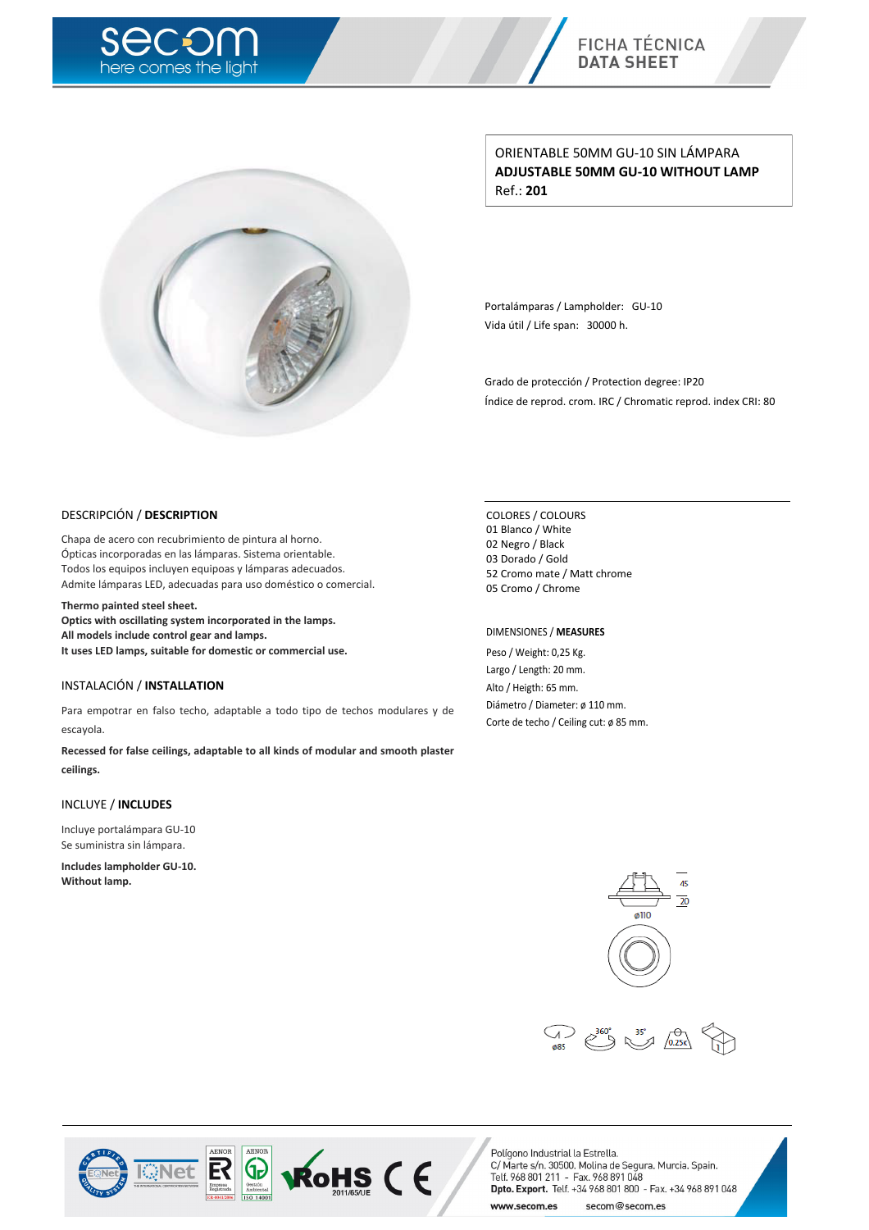



ORIENTABLE 50MM GU-10 SIN LÁMPARA **ADJUSTABLE 50MM GU-10 WITHOUT LAMP** Ref.: **201**

Portalámparas / Lampholder: GU-10 Vida útil / Life span: 30000 h.

Grado de protección / Protection degree: IP20 Índice de reprod. crom. IRC / Chromatic reprod. index CRI: 80

#### DESCRIPCIÓN / **DESCRIPTION**

Chapa de acero con recubrimiento de pintura al horno. Ópticas incorporadas en las lámparas. Sistema orientable. Todos los equipos incluyen equipoas y lámparas adecuados. Admite lámparas LED, adecuadas para uso doméstico o comercial.

**Thermo painted steel sheet.**

**Optics with oscillating system incorporated in the lamps. All models include control gear and lamps. It uses LED lamps, suitable for domestic or commercial use.**

### INSTALACIÓN / **INSTALLATION**

Para empotrar en falso techo, adaptable a todo tipo de techos modulares y de escayola.

**Recessed for false ceilings, adaptable to all kinds of modular and smooth plaster ceilings.**

#### INCLUYE / **INCLUDES**

Incluye portalámpara GU-10 Se suministra sin lámpara.

**Includes lampholder GU-10. Without lamp.**

COLORES / COLOURS Blanco / White Negro / Black Dorado / Gold Cromo mate / Matt chrome Cromo / Chrome

#### DIMENSIONES / **MEASURES**

Peso / Weight: 0,25 Kg. Largo / Length: 20 mm. Alto / Heigth: 65 mm. Diámetro / Diameter: ø 110 mm. Corte de techo / Ceiling cut: ø 85 mm.







**ROHS (E**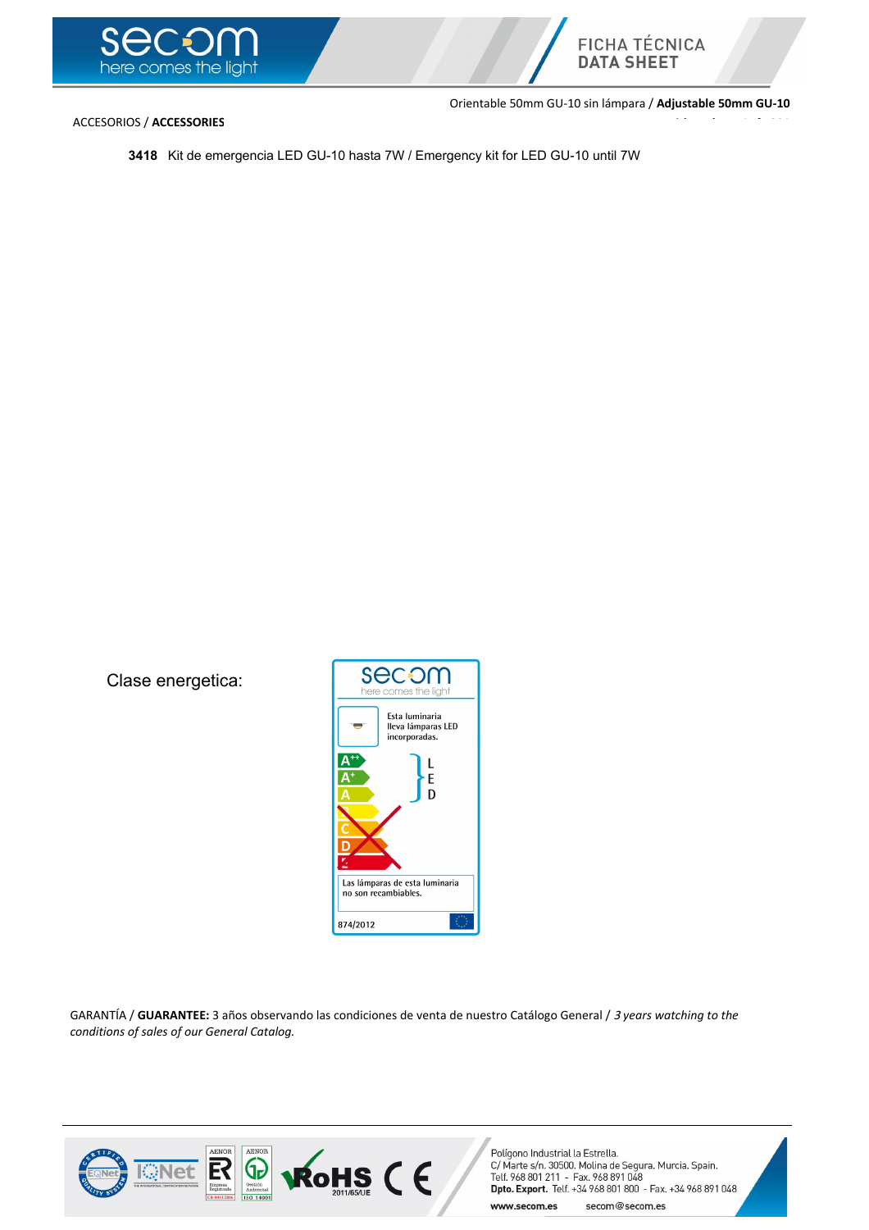



ACCESORIOS / **ACCESSORIES**

Orientable 50mm GU-10 sin lámpara / **Adjustable 50mm GU-10 without lamp** Ref.: **201**

**3418** Kit de emergencia LED GU-10 hasta 7W / Emergency kit for LED GU-10 until 7W

Clase energetica:



GARANTÍA / **GUARANTEE:** 3 años observando las condiciones de venta de nuestro Catálogo General / <sup>3</sup> *years watching to the conditions of sales of our General Catalog.*

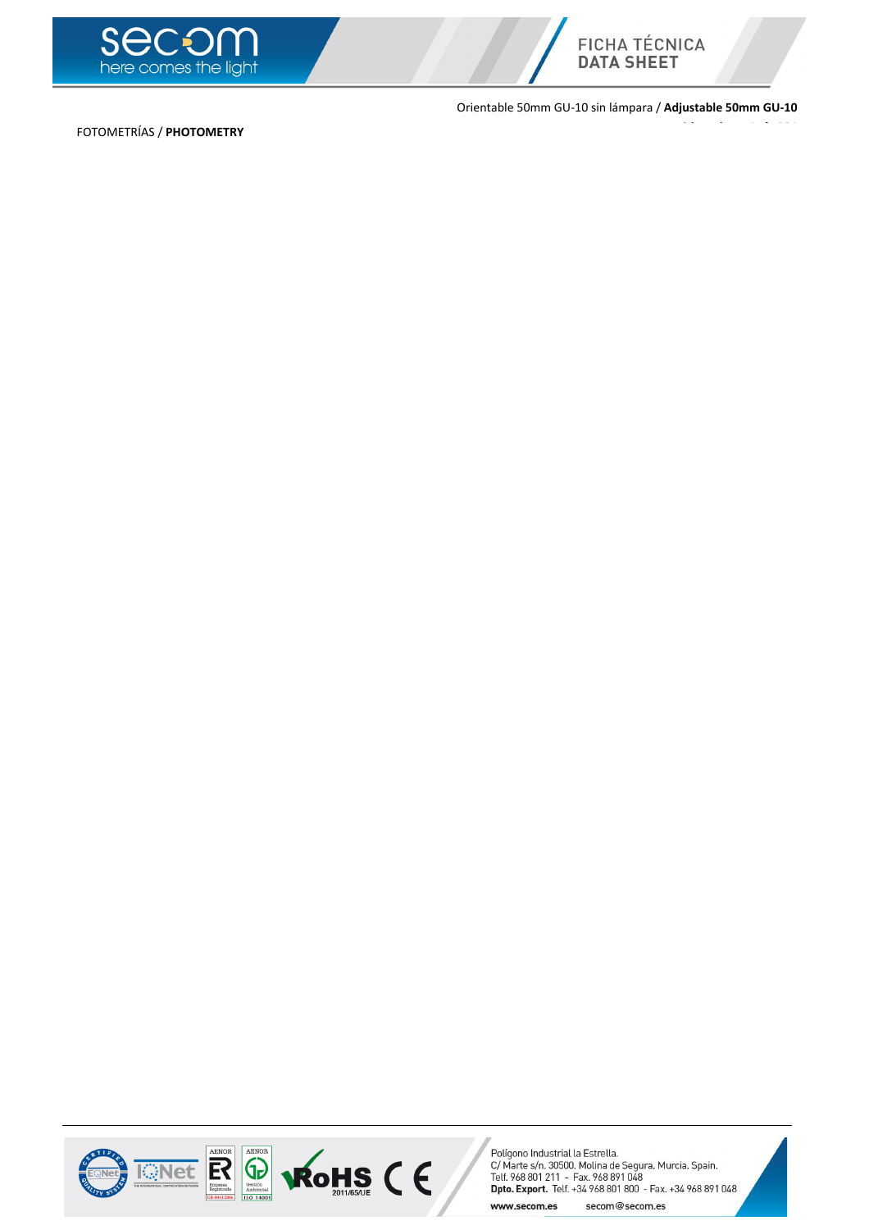



Orientable 50mm GU-10 sin lámpara / **Adjustable 50mm GU-10**

**without lamp** Ref.: **201**

FOTOMETRÍAS / **PHOTOMETRY**



Polígono Industrial la Estrella.<br>C/ Marte s/n. 30500. Molina de Segura. Murcia. Spain.<br>Telf. 968 801 211 - Fax. 968 891 048<br>**Dpto. Export.** Telf. +34 968 801 800 - Fax. +34 968 891 048 www.secom.es secom@secom.es